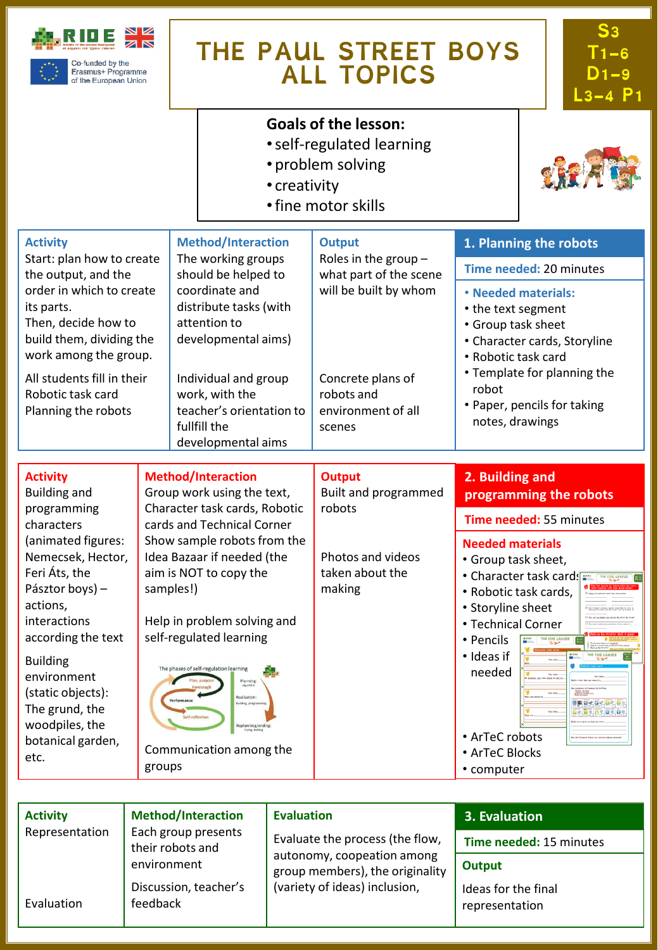

Erasmus+ Programme of the European Union

# **THE PAUL STREET BOYS ALL TOPICS**

**S3 T1-6 D1-9 L3-4 P1**

### **Goals of the lesson:**

- •self-regulated learning
- problem solving
- creativity
- •fine motor skills



| <b>Activity</b> | <b>Method/Interaction</b><br>Each group presents<br>their robots and<br>environment | <b>Evaluation</b>                                                                                                                 | 3. Evaluation                         |
|-----------------|-------------------------------------------------------------------------------------|-----------------------------------------------------------------------------------------------------------------------------------|---------------------------------------|
| Representation  |                                                                                     | Evaluate the process (the flow,<br>autonomy, coopeation among<br>group members), the originality<br>(variety of ideas) inclusion, | Time needed: 15 minutes               |
|                 |                                                                                     |                                                                                                                                   | Output                                |
| Evaluation      | Discussion, teacher's<br>feedback                                                   |                                                                                                                                   | Ideas for the final<br>representation |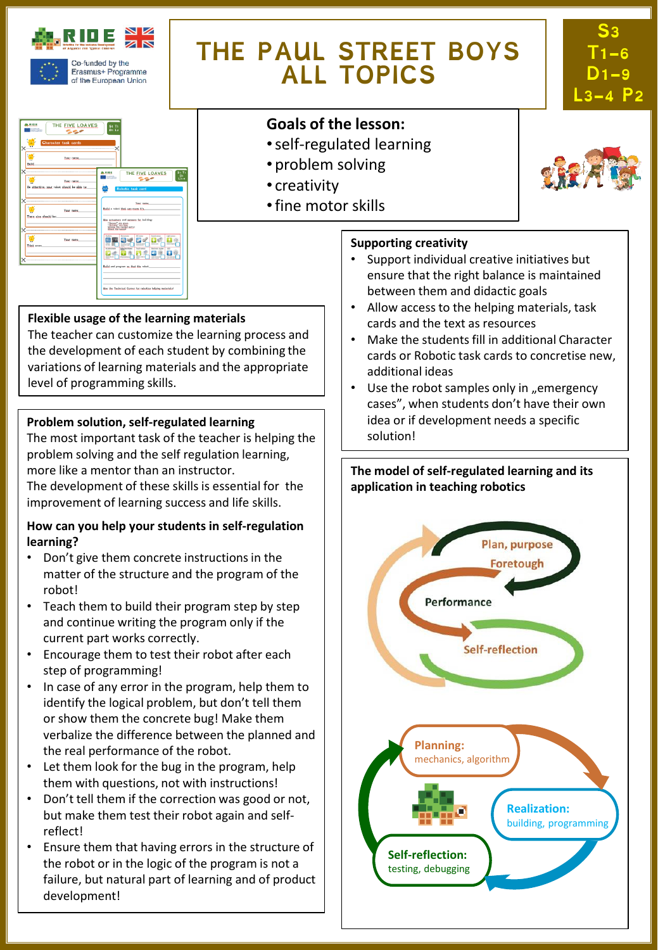

# **THE PAUL STREET BOYS ALL TOPICS**





## **Goals of the lesson:**

- •self-regulated learning
- problem solving
- creativity
- •fine motor skills



#### **Supporting creativity**

- Support individual creative initiatives but ensure that the right balance is maintained between them and didactic goals
- Allow access to the helping materials, task cards and the text as resources
- Make the students fill in additional Character cards or Robotic task cards to concretise new, additional ideas
- Use the robot samples only in "emergency cases", when students don't have their own idea or if development needs a specific solution!

#### **The model of self-regulated learning and its application in teaching robotics**



### **Flexible usage of the learning materials**

The teacher can customize the learning process and the development of each student by combining the variations of learning materials and the appropriate level of programming skills.

#### **Problem solution, self-regulated learning**

The most important task of the teacher is helping the problem solving and the self regulation learning, more like a mentor than an instructor. The development of these skills is essential for the

improvement of learning success and life skills.

#### **How can you help your students in self-regulation learning?**

- Don't give them concrete instructions in the matter of the structure and the program of the robot!
- Teach them to build their program step by step and continue writing the program only if the current part works correctly.
- Encourage them to test their robot after each step of programming!
- In case of any error in the program, help them to identify the logical problem, but don't tell them or show them the concrete bug! Make them verbalize the difference between the planned and the real performance of the robot.
- Let them look for the bug in the program, help them with questions, not with instructions!
- Don't tell them if the correction was good or not, but make them test their robot again and selfreflect!
- Ensure them that having errors in the structure of the robot or in the logic of the program is not a failure, but natural part of learning and of product development!